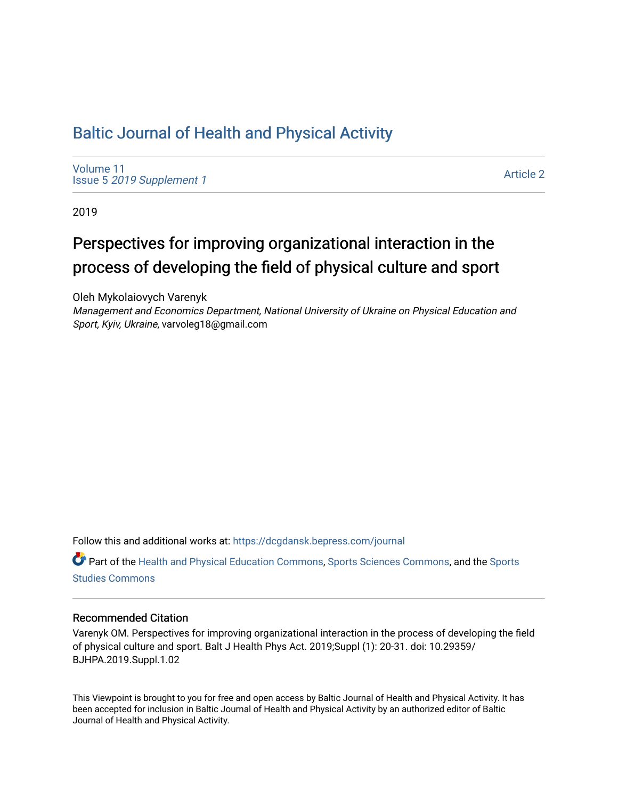# [Baltic Journal of Health and Physical Activity](https://dcgdansk.bepress.com/journal)

[Volume 11](https://dcgdansk.bepress.com/journal/vol11) Issue 5 [2019 Supplement 1](https://dcgdansk.bepress.com/journal/vol11/iss5) 

[Article 2](https://dcgdansk.bepress.com/journal/vol11/iss5/2) 

2019

# Perspectives for improving organizational interaction in the process of developing the field of physical culture and sport

Oleh Mykolaiovych Varenyk

Management and Economics Department, National University of Ukraine on Physical Education and Sport, Kyiv, Ukraine, varvoleg18@gmail.com

Follow this and additional works at: [https://dcgdansk.bepress.com/journal](https://dcgdansk.bepress.com/journal?utm_source=dcgdansk.bepress.com%2Fjournal%2Fvol11%2Fiss5%2F2&utm_medium=PDF&utm_campaign=PDFCoverPages)

Part of the [Health and Physical Education Commons](http://network.bepress.com/hgg/discipline/1327?utm_source=dcgdansk.bepress.com%2Fjournal%2Fvol11%2Fiss5%2F2&utm_medium=PDF&utm_campaign=PDFCoverPages), [Sports Sciences Commons](http://network.bepress.com/hgg/discipline/759?utm_source=dcgdansk.bepress.com%2Fjournal%2Fvol11%2Fiss5%2F2&utm_medium=PDF&utm_campaign=PDFCoverPages), and the [Sports](http://network.bepress.com/hgg/discipline/1198?utm_source=dcgdansk.bepress.com%2Fjournal%2Fvol11%2Fiss5%2F2&utm_medium=PDF&utm_campaign=PDFCoverPages)  [Studies Commons](http://network.bepress.com/hgg/discipline/1198?utm_source=dcgdansk.bepress.com%2Fjournal%2Fvol11%2Fiss5%2F2&utm_medium=PDF&utm_campaign=PDFCoverPages) 

### Recommended Citation

Varenyk OM. Perspectives for improving organizational interaction in the process of developing the field of physical culture and sport. Balt J Health Phys Act. 2019;Suppl (1): 20-31. doi: 10.29359/ BJHPA.2019.Suppl.1.02

This Viewpoint is brought to you for free and open access by Baltic Journal of Health and Physical Activity. It has been accepted for inclusion in Baltic Journal of Health and Physical Activity by an authorized editor of Baltic Journal of Health and Physical Activity.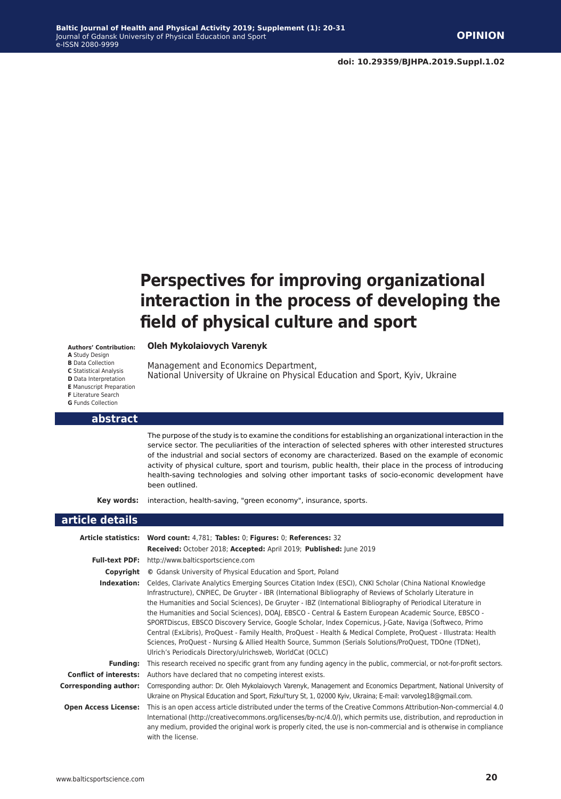**doi: 10.29359/BJHPA.2019.Suppl.1.02**

# **Perspectives for improving organizational interaction in the process of developing the field of physical culture and sport**

National University of Ukraine on Physical Education and Sport, Kyiv, Ukraine

**Authors' Contribution: A** Study Design **B** Data Collection **C** Statistical Analysis **D** Data Interpretation **E** Manuscript Preparation **F** Literature Search **G** Funds Collection

**abstract**

The purpose of the study is to examine the conditions for establishing an organizational interaction in the service sector. The peculiarities of the interaction of selected spheres with other interested structures of the industrial and social sectors of economy are characterized. Based on the example of economic activity of physical culture, sport and tourism, public health, their place in the process of introducing health-saving technologies and solving other important tasks of socio-economic development have been outlined.

**Key words:** interaction, health-saving, "green economy", insurance, sports.

**Oleh Mykolaiovych Varenyk**

Management and Economics Department,

### **article details Article statistics: Word count:** 4,781; **Tables:** 0; **Figures:** 0; **References:** 32 **Received:** October 2018; **Accepted:** April 2019; **Published:** June 2019 **Full-text PDF:** http://www.balticsportscience.com **Copyright ©** Gdansk University of Physical Education and Sport, Poland **Indexation:** Celdes, Clarivate Analytics Emerging Sources Citation Index (ESCI), CNKI Scholar (China National Knowledge Infrastructure), CNPIEC, De Gruyter - IBR (International Bibliography of Reviews of Scholarly Literature in the Humanities and Social Sciences), De Gruyter - IBZ (International Bibliography of Periodical Literature in the Humanities and Social Sciences), DOAJ, EBSCO - Central & Eastern European Academic Source, EBSCO - SPORTDiscus, EBSCO Discovery Service, Google Scholar, Index Copernicus, J-Gate, Naviga (Softweco, Primo Central (ExLibris), ProQuest - Family Health, ProQuest - Health & Medical Complete, ProQuest - Illustrata: Health Sciences, ProQuest - Nursing & Allied Health Source, Summon (Serials Solutions/ProQuest, TDOne (TDNet), Ulrich's Periodicals Directory/ulrichsweb, WorldCat (OCLC) **Funding:** This research received no specific grant from any funding agency in the public, commercial, or not-for-profit sectors. **Conflict of interests:** Authors have declared that no competing interest exists. **Corresponding author:** Corresponding author: Dr. Oleh Mykolaiovych Varenyk, Management and Economics Department, National University of Ukraine on Physical Education and Sport, Fizkul'tury St, 1, 02000 Kyiv, Ukraina; E-mail: varvoleg18@gmail.com.

**Open Access License:** This is an open access article distributed under the terms of the Creative Commons Attribution-Non-commercial 4.0 International (http://creativecommons.org/licenses/by-nc/4.0/), which permits use, distribution, and reproduction in any medium, provided the original work is properly cited, the use is non-commercial and is otherwise in compliance with the license.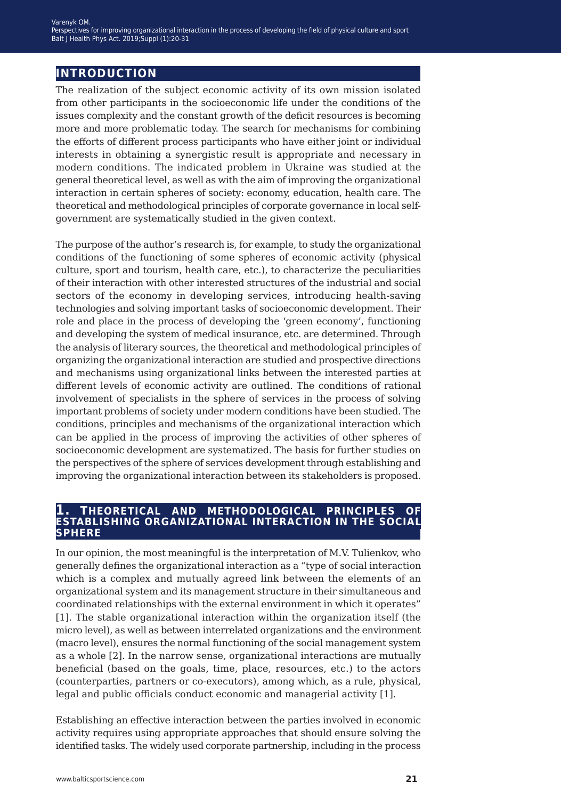## **introduction**

The realization of the subject economic activity of its own mission isolated from other participants in the socioeconomic life under the conditions of the issues complexity and the constant growth of the deficit resources is becoming more and more problematic today. The search for mechanisms for combining the efforts of different process participants who have either joint or individual interests in obtaining a synergistic result is appropriate and necessary in modern conditions. The indicated problem in Ukraine was studied at the general theoretical level, as well as with the aim of improving the organizational interaction in certain spheres of society: economy, education, health care. The theoretical and methodological principles of corporate governance in local selfgovernment are systematically studied in the given context.

The purpose of the author's research is, for example, to study the organizational conditions of the functioning of some spheres of economic activity (physical culture, sport and tourism, health care, etc.), to characterize the peculiarities of their interaction with other interested structures of the industrial and social sectors of the economy in developing services, introducing health-saving technologies and solving important tasks of socioeconomic development. Their role and place in the process of developing the 'green economy', functioning and developing the system of medical insurance, etc. are determined. Through the analysis of literary sources, the theoretical and methodological principles of organizing the organizational interaction are studied and prospective directions and mechanisms using organizational links between the interested parties at different levels of economic activity are outlined. The conditions of rational involvement of specialists in the sphere of services in the process of solving important problems of society under modern conditions have been studied. The conditions, principles and mechanisms of the organizational interaction which can be applied in the process of improving the activities of other spheres of socioeconomic development are systematized. The basis for further studies on the perspectives of the sphere of services development through establishing and improving the organizational interaction between its stakeholders is proposed.

### **1. theoretical and methodological principles of establishing organizational interaction in the social sphere**

In our opinion, the most meaningful is the interpretation of M.V. Tulienkov, who generally defines the organizational interaction as a "type of social interaction which is a complex and mutually agreed link between the elements of an organizational system and its management structure in their simultaneous and coordinated relationships with the external environment in which it operates" [1]. The stable organizational interaction within the organization itself (the micro level), as well as between interrelated organizations and the environment (macro level), ensures the normal functioning of the social management system as a whole [2]. In the narrow sense, organizational interactions are mutually beneficial (based on the goals, time, place, resources, etc.) to the actors (counterparties, partners or co-executors), among which, as a rule, physical, legal and public officials conduct economic and managerial activity [1].

Establishing an effective interaction between the parties involved in economic activity requires using appropriate approaches that should ensure solving the identified tasks. The widely used corporate partnership, including in the process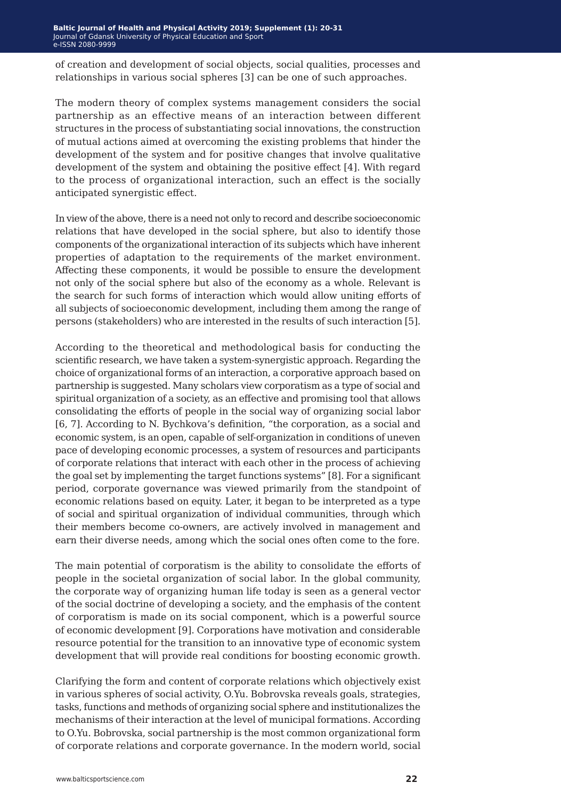of creation and development of social objects, social qualities, processes and relationships in various social spheres [3] can be one of such approaches.

The modern theory of complex systems management considers the social partnership as an effective means of an interaction between different structures in the process of substantiating social innovations, the construction of mutual actions aimed at overcoming the existing problems that hinder the development of the system and for positive changes that involve qualitative development of the system and obtaining the positive effect [4]. With regard to the process of organizational interaction, such an effect is the socially anticipated synergistic effect.

In view of the above, there is a need not only to record and describe socioeconomic relations that have developed in the social sphere, but also to identify those components of the organizational interaction of its subjects which have inherent properties of adaptation to the requirements of the market environment. Affecting these components, it would be possible to ensure the development not only of the social sphere but also of the economy as a whole. Relevant is the search for such forms of interaction which would allow uniting efforts of all subjects of socioeconomic development, including them among the range of persons (stakeholders) who are interested in the results of such interaction [5].

According to the theoretical and methodological basis for conducting the scientific research, we have taken a system-synergistic approach. Regarding the choice of organizational forms of an interaction, a corporative approach based on partnership is suggested. Many scholars view corporatism as a type of social and spiritual organization of a society, as an effective and promising tool that allows consolidating the efforts of people in the social way of organizing social labor [6, 7]. According to N. Bychkova's definition, "the corporation, as a social and economic system, is an open, capable of self-organization in conditions of uneven pace of developing economic processes, a system of resources and participants of corporate relations that interact with each other in the process of achieving the goal set by implementing the target functions systems" [8]. For a significant period, corporate governance was viewed primarily from the standpoint of economic relations based on equity. Later, it began to be interpreted as a type of social and spiritual organization of individual communities, through which their members become co-owners, are actively involved in management and earn their diverse needs, among which the social ones often come to the fore.

The main potential of corporatism is the ability to consolidate the efforts of people in the societal organization of social labor. In the global community, the corporate way of organizing human life today is seen as a general vector of the social doctrine of developing a society, and the emphasis of the content of corporatism is made on its social component, which is a powerful source of economic development [9]. Corporations have motivation and considerable resource potential for the transition to an innovative type of economic system development that will provide real conditions for boosting economic growth.

Clarifying the form and content of corporate relations which objectively exist in various spheres of social activity, O.Yu. Bobrovska reveals goals, strategies, tasks, functions and methods of organizing social sphere and institutionalizes the mechanisms of their interaction at the level of municipal formations. According to O.Yu. Bobrovska, social partnership is the most common organizational form of corporate relations and corporate governance. In the modern world, social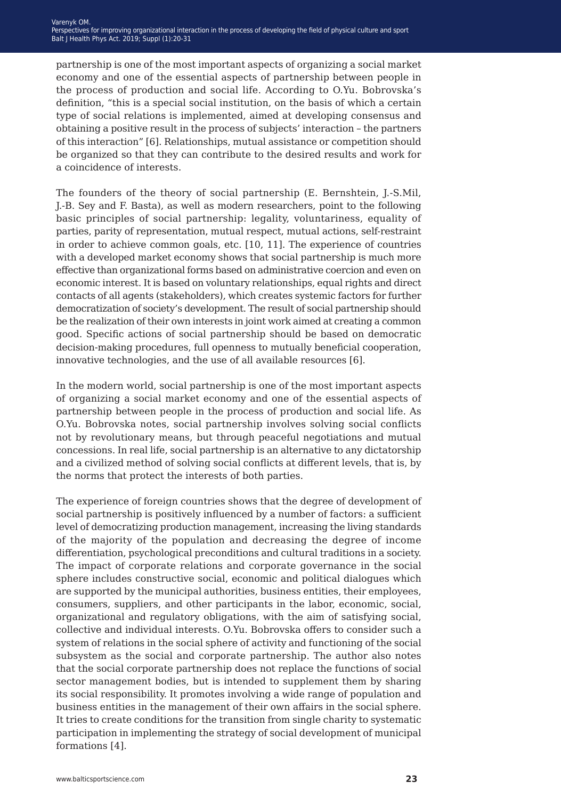partnership is one of the most important aspects of organizing a social market economy and one of the essential aspects of partnership between people in the process of production and social life. According to O.Yu. Bobrovska's definition, "this is a special social institution, on the basis of which a certain type of social relations is implemented, aimed at developing consensus and obtaining a positive result in the process of subjects' interaction – the partners of this interaction" [6]. Relationships, mutual assistance or competition should be organized so that they can contribute to the desired results and work for a coincidence of interests.

The founders of the theory of social partnership (E. Bernshtein, J.-S.Mil, J.-B. Sey and F. Basta), as well as modern researchers, point to the following basic principles of social partnership: legality, voluntariness, equality of parties, parity of representation, mutual respect, mutual actions, self-restraint in order to achieve common goals, etc. [10, 11]. The experience of countries with a developed market economy shows that social partnership is much more effective than organizational forms based on administrative coercion and even on economic interest. It is based on voluntary relationships, equal rights and direct contacts of all agents (stakeholders), which creates systemic factors for further democratization of society's development. The result of social partnership should be the realization of their own interests in joint work aimed at creating a common good. Specific actions of social partnership should be based on democratic decision-making procedures, full openness to mutually beneficial cooperation, innovative technologies, and the use of all available resources [6].

In the modern world, social partnership is one of the most important aspects of organizing a social market economy and one of the essential aspects of partnership between people in the process of production and social life. As O.Yu. Bobrovska notes, social partnership involves solving social conflicts not by revolutionary means, but through peaceful negotiations and mutual concessions. In real life, social partnership is an alternative to any dictatorship and a civilized method of solving social conflicts at different levels, that is, by the norms that protect the interests of both parties.

The experience of foreign countries shows that the degree of development of social partnership is positively influenced by a number of factors: a sufficient level of democratizing production management, increasing the living standards of the majority of the population and decreasing the degree of income differentiation, psychological preconditions and cultural traditions in a society. The impact of corporate relations and corporate governance in the social sphere includes constructive social, economic and political dialogues which are supported by the municipal authorities, business entities, their employees, consumers, suppliers, and other participants in the labor, economic, social, organizational and regulatory obligations, with the aim of satisfying social, collective and individual interests. O.Yu. Bobrovska offers to consider such a system of relations in the social sphere of activity and functioning of the social subsystem as the social and corporate partnership. The author also notes that the social corporate partnership does not replace the functions of social sector management bodies, but is intended to supplement them by sharing its social responsibility. It promotes involving a wide range of population and business entities in the management of their own affairs in the social sphere. It tries to create conditions for the transition from single charity to systematic participation in implementing the strategy of social development of municipal formations [4].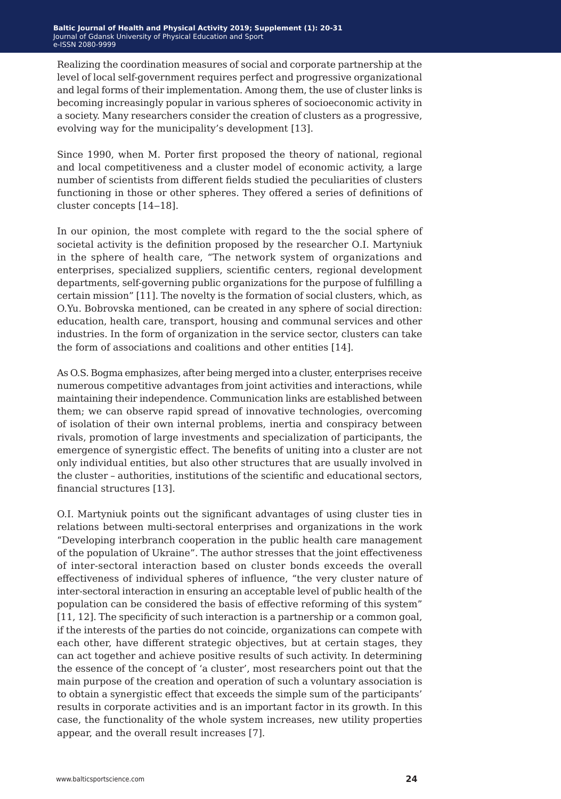Realizing the coordination measures of social and corporate partnership at the level of local self-government requires perfect and progressive organizational and legal forms of their implementation. Among them, the use of cluster links is becoming increasingly popular in various spheres of socioeconomic activity in a society. Many researchers consider the creation of clusters as a progressive, evolving way for the municipality's development [13].

Since 1990, when M. Porter first proposed the theory of national, regional and local competitiveness and a cluster model of economic activity, a large number of scientists from different fields studied the peculiarities of clusters functioning in those or other spheres. They offered a series of definitions of cluster concepts [14–18].

In our opinion, the most complete with regard to the the social sphere of societal activity is the definition proposed by the researcher О.І. Martyniuk in the sphere of health care, "The network system of organizations and enterprises, specialized suppliers, scientific centers, regional development departments, self-governing public organizations for the purpose of fulfilling a certain mission" [11]. The novelty is the formation of social clusters, which, as O.Yu. Bobrovska mentioned, can be created in any sphere of social direction: education, health care, transport, housing and communal services and other industries. In the form of organization in the service sector, clusters can take the form of associations and coalitions and other entities [14].

As O.S. Bogma emphasizes, after being merged into a cluster, enterprises receive numerous competitive advantages from joint activities and interactions, while maintaining their independence. Communication links are established between them; we can observe rapid spread of innovative technologies, overcoming of isolation of their own internal problems, inertia and conspiracy between rivals, promotion of large investments and specialization of participants, the emergence of synergistic effect. The benefits of uniting into a cluster are not only individual entities, but also other structures that are usually involved in the cluster – authorities, institutions of the scientific and educational sectors, financial structures [13].

O.I. Martyniuk points out the significant advantages of using cluster ties in relations between multi-sectoral enterprises and organizations in the work "Developing interbranch cooperation in the public health care management of the population of Ukraine". The author stresses that the joint effectiveness of inter-sectoral interaction based on cluster bonds exceeds the overall effectiveness of individual spheres of influence, "the very cluster nature of inter-sectoral interaction in ensuring an acceptable level of public health of the population can be considered the basis of effective reforming of this system" [11, 12]. The specificity of such interaction is a partnership or a common goal, if the interests of the parties do not coincide, organizations can compete with each other, have different strategic objectives, but at certain stages, they can act together and achieve positive results of such activity. In determining the essence of the concept of 'a cluster', most researchers point out that the main purpose of the creation and operation of such a voluntary association is to obtain a synergistic effect that exceeds the simple sum of the participants' results in corporate activities and is an important factor in its growth. In this case, the functionality of the whole system increases, new utility properties appear, and the overall result increases [7].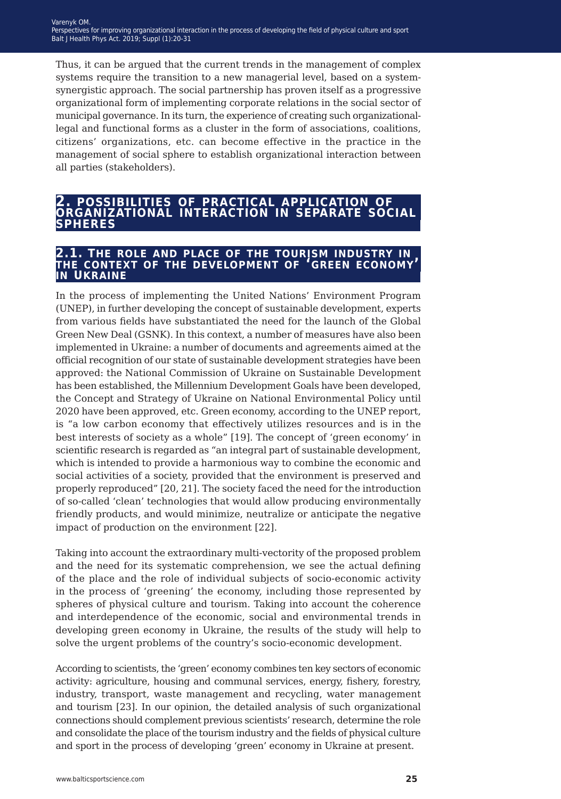Thus, it can be argued that the current trends in the management of complex systems require the transition to a new managerial level, based on a systemsynergistic approach. The social partnership has proven itself as a progressive organizational form of implementing corporate relations in the social sector of municipal governance. In its turn, the experience of creating such organizationallegal and functional forms as a cluster in the form of associations, coalitions, citizens' organizations, etc. can become effective in the practice in the management of social sphere to establish organizational interaction between all parties (stakeholders).

# **2. possibilities of practical application of organizational interaction in separate social spheres**

## **2.1. the role and place of the tourism industry in the context of the development of 'green economy' in ukraine**

In the process of implementing the United Nations' Environment Program (UNEP), in further developing the concept of sustainable development, experts from various fields have substantiated the need for the launch of the Global Green New Deal (GSNK). In this context, a number of measures have also been implemented in Ukraine: a number of documents and agreements aimed at the official recognition of our state of sustainable development strategies have been approved: the National Commission of Ukraine on Sustainable Development has been established, the Millennium Development Goals have been developed, the Concept and Strategy of Ukraine on National Environmental Policy until 2020 have been approved, etc. Green economy, according to the UNEP report, is "a low carbon economy that effectively utilizes resources and is in the best interests of society as a whole" [19]. The concept of 'green economy' in scientific research is regarded as "an integral part of sustainable development, which is intended to provide a harmonious way to combine the economic and social activities of a society, provided that the environment is preserved and properly reproduced" [20, 21]. The society faced the need for the introduction of so-called 'clean' technologies that would allow producing environmentally friendly products, and would minimize, neutralize or anticipate the negative impact of production on the environment [22].

Taking into account the extraordinary multi-vectority of the proposed problem and the need for its systematic comprehension, we see the actual defining of the place and the role of individual subjects of socio-economic activity in the process of 'greening' the economy, including those represented by spheres of physical culture and tourism. Taking into account the coherence and interdependence of the economic, social and environmental trends in developing green economy in Ukraine, the results of the study will help to solve the urgent problems of the country's socio-economic development.

According to scientists, the 'green' economy combines ten key sectors of economic activity: agriculture, housing and communal services, energy, fishery, forestry, industry, transport, waste management and recycling, water management and tourism [23]. In our opinion, the detailed analysis of such organizational connections should complement previous scientists' research, determine the role and consolidate the place of the tourism industry and the fields of physical culture and sport in the process of developing 'green' economy in Ukraine at present.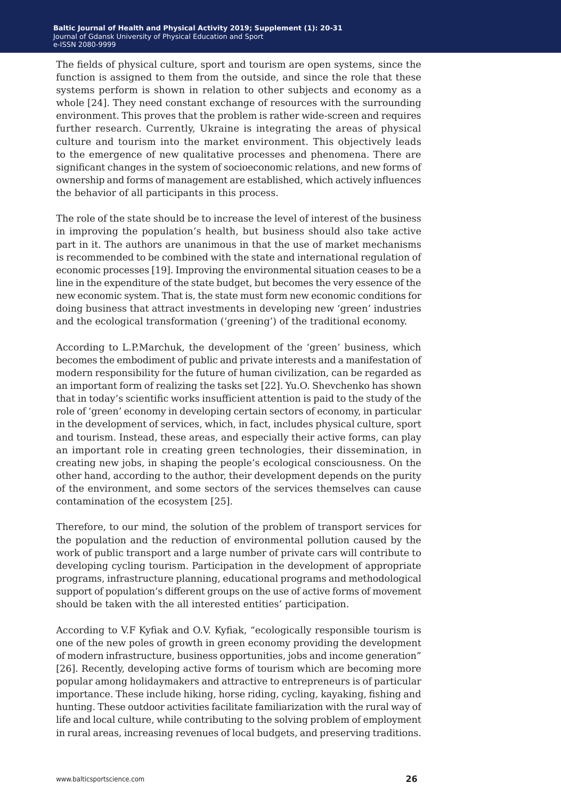The fields of physical culture, sport and tourism are open systems, since the function is assigned to them from the outside, and since the role that these systems perform is shown in relation to other subjects and economy as a whole [24]. They need constant exchange of resources with the surrounding environment. This proves that the problem is rather wide-screen and requires further research. Currently, Ukraine is integrating the areas of physical culture and tourism into the market environment. This objectively leads to the emergence of new qualitative processes and phenomena. There are significant changes in the system of socioeconomic relations, and new forms of ownership and forms of management are established, which actively influences the behavior of all participants in this process.

The role of the state should be to increase the level of interest of the business in improving the population's health, but business should also take active part in it. The authors are unanimous in that the use of market mechanisms is recommended to be combined with the state and international regulation of economic processes [19]. Improving the environmental situation ceases to be a line in the expenditure of the state budget, but becomes the very essence of the new economic system. That is, the state must form new economic conditions for doing business that attract investments in developing new 'green' industries and the ecological transformation ('greening') of the traditional economy.

According to L.P.Marchuk, the development of the 'green' business, which becomes the embodiment of public and private interests and a manifestation of modern responsibility for the future of human civilization, can be regarded as an important form of realizing the tasks set [22]. Yu.O. Shevchenko has shown that in today's scientific works insufficient attention is paid to the study of the role of 'green' economy in developing certain sectors of economy, in particular in the development of services, which, in fact, includes physical culture, sport and tourism. Instead, these areas, and especially their active forms, can play an important role in creating green technologies, their dissemination, in creating new jobs, in shaping the people's ecological consciousness. On the other hand, according to the author, their development depends on the purity of the environment, and some sectors of the services themselves can cause contamination of the ecosystem [25].

Therefore, to our mind, the solution of the problem of transport services for the population and the reduction of environmental pollution caused by the work of public transport and a large number of private cars will contribute to developing cycling tourism. Participation in the development of appropriate programs, infrastructure planning, educational programs and methodological support of population's different groups on the use of active forms of movement should be taken with the all interested entities' participation.

According to V.F Kyfiak and O.V. Kyfiak, "ecologically responsible tourism is one of the new poles of growth in green economy providing the development of modern infrastructure, business opportunities, jobs and income generation" [26]. Recently, developing active forms of tourism which are becoming more popular among holidaymakers and attractive to entrepreneurs is of particular importance. These include hiking, horse riding, cycling, kayaking, fishing and hunting. These outdoor activities facilitate familiarization with the rural way of life and local culture, while contributing to the solving problem of employment in rural areas, increasing revenues of local budgets, and preserving traditions.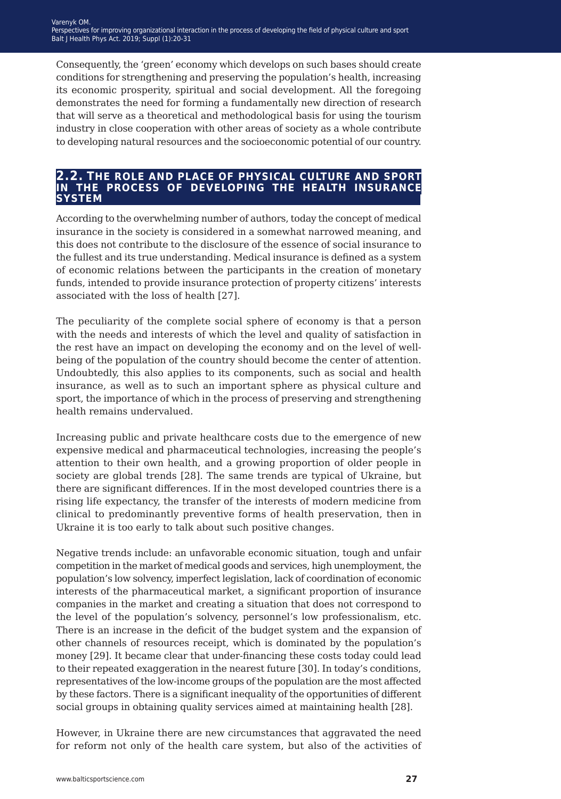Consequently, the 'green' economy which develops on such bases should create conditions for strengthening and preserving the population's health, increasing its economic prosperity, spiritual and social development. All the foregoing demonstrates the need for forming a fundamentally new direction of research that will serve as a theoretical and methodological basis for using the tourism industry in close cooperation with other areas of society as a whole contribute to developing natural resources and the socioeconomic potential of our country.

#### **2.2. the role and place of physical culture and sport in the process of developing the health insurance system**

According to the overwhelming number of authors, today the concept of medical insurance in the society is considered in a somewhat narrowed meaning, and this does not contribute to the disclosure of the essence of social insurance to the fullest and its true understanding. Medical insurance is defined as a system of economic relations between the participants in the creation of monetary funds, intended to provide insurance protection of property citizens' interests associated with the loss of health [27].

The peculiarity of the complete social sphere of economy is that a person with the needs and interests of which the level and quality of satisfaction in the rest have an impact on developing the economy and on the level of wellbeing of the population of the country should become the center of attention. Undoubtedly, this also applies to its components, such as social and health insurance, as well as to such an important sphere as physical culture and sport, the importance of which in the process of preserving and strengthening health remains undervalued.

Increasing public and private healthcare costs due to the emergence of new expensive medical and pharmaceutical technologies, increasing the people's attention to their own health, and a growing proportion of older people in society are global trends [28]. The same trends are typical of Ukraine, but there are significant differences. If in the most developed countries there is a rising life expectancy, the transfer of the interests of modern medicine from clinical to predominantly preventive forms of health preservation, then in Ukraine it is too early to talk about such positive changes.

Negative trends include: an unfavorable economic situation, tough and unfair competition in the market of medical goods and services, high unemployment, the population's low solvency, imperfect legislation, lack of coordination of economic interests of the pharmaceutical market, a significant proportion of insurance companies in the market and creating a situation that does not correspond to the level of the population's solvency, personnel's low professionalism, etc. There is an increase in the deficit of the budget system and the expansion of other channels of resources receipt, which is dominated by the population's money [29]. It became clear that under-financing these costs today could lead to their repeated exaggeration in the nearest future [30]. In today's conditions, representatives of the low-income groups of the population are the most affected by these factors. There is a significant inequality of the opportunities of different social groups in obtaining quality services aimed at maintaining health [28].

However, in Ukraine there are new circumstances that aggravated the need for reform not only of the health care system, but also of the activities of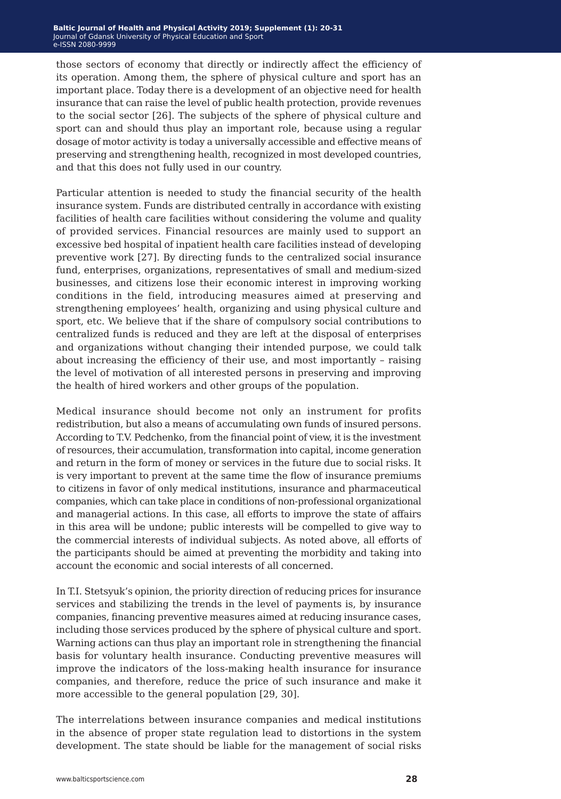those sectors of economy that directly or indirectly affect the efficiency of its operation. Among them, the sphere of physical culture and sport has an important place. Today there is a development of an objective need for health insurance that can raise the level of public health protection, provide revenues to the social sector [26]. The subjects of the sphere of physical culture and sport can and should thus play an important role, because using a regular dosage of motor activity is today a universally accessible and effective means of preserving and strengthening health, recognized in most developed countries, and that this does not fully used in our country.

Particular attention is needed to study the financial security of the health insurance system. Funds are distributed centrally in accordance with existing facilities of health care facilities without considering the volume and quality of provided services. Financial resources are mainly used to support an excessive bed hospital of inpatient health care facilities instead of developing preventive work [27]. By directing funds to the centralized social insurance fund, enterprises, organizations, representatives of small and medium-sized businesses, and citizens lose their economic interest in improving working conditions in the field, introducing measures aimed at preserving and strengthening employees' health, organizing and using physical culture and sport, etc. We believe that if the share of compulsory social contributions to centralized funds is reduced and they are left at the disposal of enterprises and organizations without changing their intended purpose, we could talk about increasing the efficiency of their use, and most importantly – raising the level of motivation of all interested persons in preserving and improving the health of hired workers and other groups of the population.

Medical insurance should become not only an instrument for profits redistribution, but also a means of accumulating own funds of insured persons. According to T.V. Pedchenko, from the financial point of view, it is the investment of resources, their accumulation, transformation into capital, income generation and return in the form of money or services in the future due to social risks. It is very important to prevent at the same time the flow of insurance premiums to citizens in favor of only medical institutions, insurance and pharmaceutical companies, which can take place in conditions of non-professional organizational and managerial actions. In this case, all efforts to improve the state of affairs in this area will be undone; public interests will be compelled to give way to the commercial interests of individual subjects. As noted above, all efforts of the participants should be aimed at preventing the morbidity and taking into account the economic and social interests of all concerned.

In T.I. Stetsyuk's opinion, the priority direction of reducing prices for insurance services and stabilizing the trends in the level of payments is, by insurance companies, financing preventive measures aimed at reducing insurance cases, including those services produced by the sphere of physical culture and sport. Warning actions can thus play an important role in strengthening the financial basis for voluntary health insurance. Conducting preventive measures will improve the indicators of the loss-making health insurance for insurance companies, and therefore, reduce the price of such insurance and make it more accessible to the general population [29, 30].

The interrelations between insurance companies and medical institutions in the absence of proper state regulation lead to distortions in the system development. The state should be liable for the management of social risks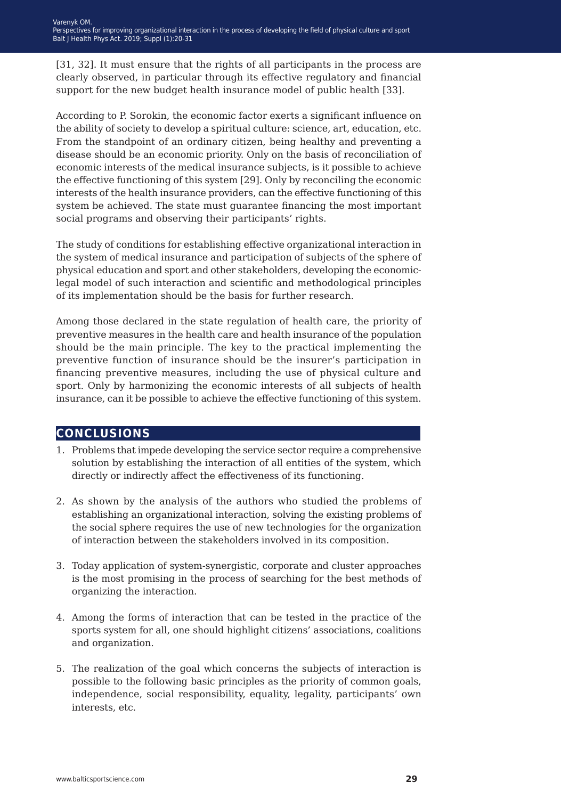[31, 32]. It must ensure that the rights of all participants in the process are clearly observed, in particular through its effective regulatory and financial support for the new budget health insurance model of public health [33].

According to P. Sorokin, the economic factor exerts a significant influence on the ability of society to develop a spiritual culture: science, art, education, etc. From the standpoint of an ordinary citizen, being healthy and preventing a disease should be an economic priority. Only on the basis of reconciliation of economic interests of the medical insurance subjects, is it possible to achieve the effective functioning of this system [29]. Only by reconciling the economic interests of the health insurance providers, can the effective functioning of this system be achieved. The state must guarantee financing the most important social programs and observing their participants' rights.

The study of conditions for establishing effective organizational interaction in the system of medical insurance and participation of subjects of the sphere of physical education and sport and other stakeholders, developing the economiclegal model of such interaction and scientific and methodological principles of its implementation should be the basis for further research.

Among those declared in the state regulation of health care, the priority of preventive measures in the health care and health insurance of the population should be the main principle. The key to the practical implementing the preventive function of insurance should be the insurer's participation in financing preventive measures, including the use of physical culture and sport. Only by harmonizing the economic interests of all subjects of health insurance, can it be possible to achieve the effective functioning of this system.

### **conclusions**

- 1. Problems that impede developing the service sector require a comprehensive solution by establishing the interaction of all entities of the system, which directly or indirectly affect the effectiveness of its functioning.
- 2. As shown by the analysis of the authors who studied the problems of establishing an organizational interaction, solving the existing problems of the social sphere requires the use of new technologies for the organization of interaction between the stakeholders involved in its composition.
- 3. Today application of system-synergistic, corporate and cluster approaches is the most promising in the process of searching for the best methods of organizing the interaction.
- 4. Among the forms of interaction that can be tested in the practice of the sports system for all, one should highlight citizens' associations, coalitions and organization.
- 5. The realization of the goal which concerns the subjects of interaction is possible to the following basic principles as the priority of common goals, independence, social responsibility, equality, legality, participants' own interests, etc.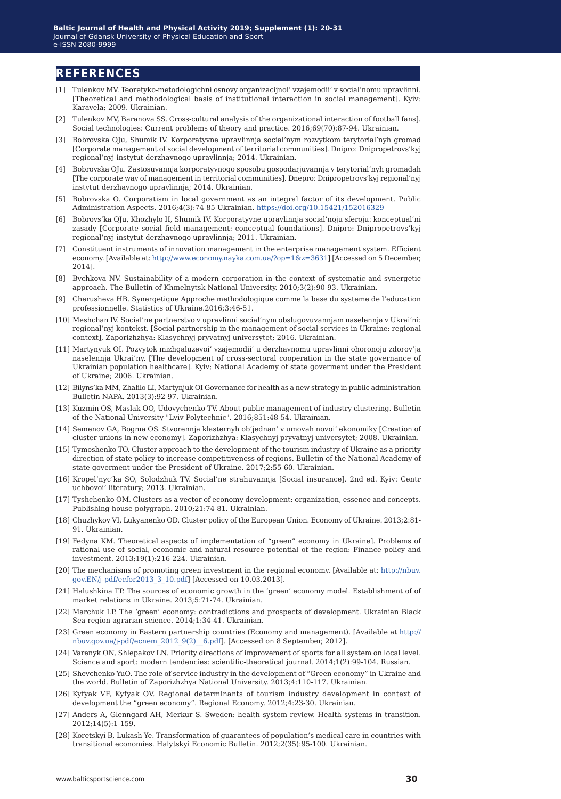### **references**

- [1] Tulenkov MV. Teoretyko-metodologichni osnovy organizacijnoi' vzajemodii' v social'nomu upravlinni. [Theoretical and methodological basis of institutional interaction in social management]. Kyiv: Karavela; 2009. Ukrainian.
- [2] Tulenkov MV, Baranova SS. Cross-cultural analysis of the organizational interaction of football fans]. Social technologies: Current problems of theory and practice. 2016;69(70):87-94. Ukrainian.
- [3] Bobrovska OJu, Shumik IV. Korporatyvne upravlinnja social'nym rozvytkom terytorial'nyh gromad [Corporate management of social development of territorial communities]. Dnipro: Dnipropetrovs'kyj regional'nyj instytut derzhavnogo upravlinnja; 2014. Ukrainian.
- [4] Bobrovska OJu. Zastosuvannja korporatyvnogo sposobu gospodarjuvannja v terytorial'nyh gromadah [The corporate way of management in territorial communities]. Dnepro: Dnipropetrovs'kyj regional'nyj instytut derzhavnogo upravlinnja; 2014. Ukrainian.
- [5] Bobrovska O. Corporatism in local government as an integral factor of its development. Public Administration Aspects. 2016;4(3):74-85 Ukrainian. <https://doi.org/10.15421/152016329>
- [6] Bobrovs'ka OJu, Khozhylo II, Shumik IV. Korporatyvne upravlinnja social'noju sferoju: konceptual'ni zasady [Corporate social field management: conceptual foundations]. Dnipro: Dnipropetrovs'kyj regional'nyj instytut derzhavnogo upravlinnja; 2011. Ukrainian.
- [7] Constituent instruments of innovation management in the enterprise management system. Efficient economy. [Available at:<http://www.economy.nayka.com.ua/?op=1&z=3631>] [Accessed on 5 December, 2014].
- [8] Bychkova NV. Sustainability of a modern corporation in the context of systematic and synergetic approach. The Bulletin of Khmelnytsk National University. 2010;3(2):90-93. Ukrainian.
- [9] Cherusheva HB. Synergetique Approche methodologique comme la base du systeme de l'education professionnelle. Statistics of Ukraine.2016;3:46-51.
- [10] Meshchan IV. Social'ne partnerstvo v upravlinni social'nym obslugovuvannjam naselennja v Ukrai'ni: regional'nyj kontekst. [Social partnership in the management of social services in Ukraine: regional context], Zaporizhzhya: Klasychnyj pryvatnyj universytet; 2016. Ukrainian.
- [11] Martynyuk OI. Pozvytok mizhgaluzevoi' vzajemodii' u derzhavnomu upravlinni ohoronoju zdorov'ja naselennja Ukrai'ny. [The development of cross-sectoral cooperation in the state governance of Ukrainian population healthcare]. Kyiv; National Academy of state goverment under the President of Ukraine; 2006. Ukrainian.
- [12] Bilyns'ka MM, Zhalilo LI, Martynjuk OI Governance for health as a new strategy in public administration Bulletin NAPA. 2013(3):92-97. Ukrainian.
- [13] Kuzmin OS, Maslak OO, Udovychenko TV. About public management of industry clustering. Bulletin of the National University "Lviv Polytechnic". 2016;851:48-54. Ukrainian.
- [14] Semenov GA, Bogma OS. Stvorennja klasternyh ob'jednan' v umovah novoi' ekonomiky [Creation of cluster unions in new economy]. Zaporizhzhya: Klasychnyj pryvatnyj universytet; 2008. Ukrainian.
- [15] Tymoshenko TO. Cluster approach to the development of the tourism industry of Ukraine as a priority direction of state policy to increase competitiveness of regions. Bulletin of the National Academy of state goverment under the President of Ukraine. 2017;2:55-60. Ukrainian.
- [16] Kropel'nyc'ka SO, Solodzhuk TV. Social'ne strahuvannja [Social insurance]. 2nd ed. Kyiv: Centr uchbovoi' literatury; 2013. Ukrainian.
- [17] Tyshchenko OM. Clusters as a vector of economy development: organization, essence and concepts. Publishing house-polygraph. 2010;21:74-81. Ukrainian.
- [18] Chuzhykov VI, Lukyanenko OD. Cluster policy of the European Union. Economy of Ukraine. 2013;2:81- 91. Ukrainian.
- [19] Fedyna KM. Theoretical aspects of implementation of "green" economy in Ukraine]. Problems of rational use of social, economic and natural resource potential of the region: Finance policy and investment. 2013;19(1):216-224. Ukrainian.
- [20] The mechanisms of promoting green investment in the regional economy. [Available at: [http://nbuv.](http://nbuv.gov.EN/j-pdf/ecfor2013_3_10.pdf) [gov.EN/j-pdf/ecfor2013\\_3\\_10.pdf\]](http://nbuv.gov.EN/j-pdf/ecfor2013_3_10.pdf) [Accessed on 10.03.2013].
- [21] Halushkina TP. The sources of economic growth in the 'green' economy model. Establishment of of market relations in Ukraine. 2013;5:71-74. Ukrainian.
- [22] Marchuk LP. The 'green' economy: contradictions and prospects of development. Ukrainian Black Sea region agrarian science. 2014;1:34-41. Ukrainian.
- [23] Green economy in Eastern partnership countries (Economy and management). [Available at [http://](http://nbuv.gov.ua/j-pdf/ecnem_2012_9(2)__6.pdf) nbuv.gov.ua/j-pdf/ecnem\_2012\_9(2) \_6.pdf]. [Accessed on 8 September, 2012].
- [24] Varenyk ON, Shlepakov LN. Priority directions of improvement of sports for all system on local level. Science and sport: modern tendencies: scientific-theoretical journal. 2014;1(2):99-104. Russian.
- [25] Shevchenko YuO. The role of service industry in the development of "Green economy" in Ukraine and the world. Bulletin of Zaporizhzhya National University. 2013;4:110-117. Ukrainian.
- [26] Kyfyak VF, Kyfyak OV. Regional determinants of tourism industry development in context of development the "green economy". Regional Economy. 2012;4:23-30. Ukrainian.
- [27] Anders A, Glenngard AH, Merkur S. Sweden: health system review. Health systems in transition. 2012;14(5):1-159.
- [28] Koretskyi B, Lukash Ye. Transformation of guarantees of population's medical care in countries with transitional economies. Halytskyi Economic Bulletin. 2012;2(35):95-100. Ukrainian.